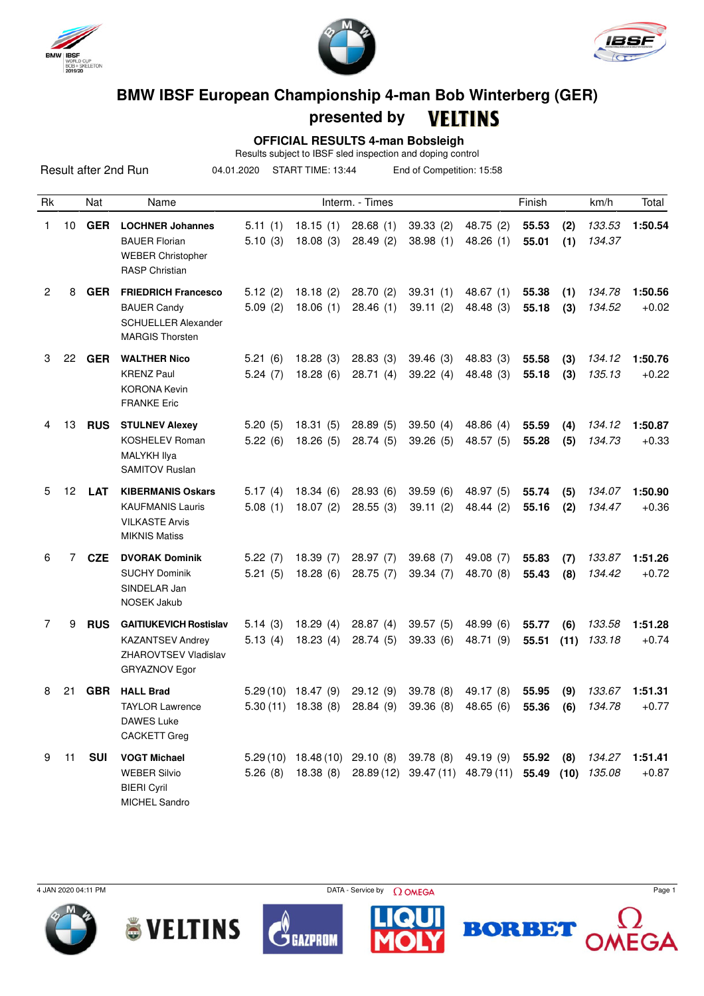





## **BMW IBSF European Championship 4-man Bob Winterberg (GER)**

## **presented by**

 $\overline{a}$ 

|                |                                                                                                       |            |                                                                                                          |                                                              |                      | presented by                            |                       | VELIINS                                                                                                                                              |                |             |                  |                           |
|----------------|-------------------------------------------------------------------------------------------------------|------------|----------------------------------------------------------------------------------------------------------|--------------------------------------------------------------|----------------------|-----------------------------------------|-----------------------|------------------------------------------------------------------------------------------------------------------------------------------------------|----------------|-------------|------------------|---------------------------|
|                | <b>OFFICIAL RESULTS 4-man Bobsleigh</b><br>Results subject to IBSF sled inspection and doping control |            |                                                                                                          |                                                              |                      |                                         |                       |                                                                                                                                                      |                |             |                  |                           |
|                |                                                                                                       |            | Result after 2nd Run                                                                                     | START TIME: 13:44<br>End of Competition: 15:58<br>04.01.2020 |                      |                                         |                       |                                                                                                                                                      |                |             |                  |                           |
| Rk             |                                                                                                       | Nat        | Name                                                                                                     |                                                              |                      | Interm. - Times                         |                       |                                                                                                                                                      | Finish         |             | km/h             | Total                     |
| 1              | 10                                                                                                    | <b>GER</b> | <b>LOCHNER Johannes</b><br><b>BAUER Florian</b><br><b>WEBER Christopher</b><br><b>RASP Christian</b>     | 5.11(1)<br>5.10(3)                                           | 18.15(1)<br>18.08(3) | 28.68(1)<br>28.49(2)                    | 39.33(2)<br>38.98(1)  | 48.75 (2)<br>48.26(1)                                                                                                                                | 55.53<br>55.01 | (2)<br>(1)  | 133.53<br>134.37 | 1:50.54                   |
| $\overline{c}$ | 8                                                                                                     | <b>GER</b> | <b>FRIEDRICH Francesco</b><br><b>BAUER Candy</b><br><b>SCHUELLER Alexander</b><br><b>MARGIS Thorsten</b> | 5.12(2)<br>5.09(2)                                           | 18.18(2)<br>18.06(1) | 28.70(2)<br>28.46(1)                    | 39.31(1)<br>39.11(2)  | 48.67(1)<br>48.48 (3)                                                                                                                                | 55.38<br>55.18 | (1)<br>(3)  | 134.78<br>134.52 | 1:50.56<br>$+0.02$        |
| 3              | 22                                                                                                    | <b>GER</b> | <b>WALTHER Nico</b><br><b>KRENZ Paul</b><br><b>KORONA Kevin</b><br><b>FRANKE Eric</b>                    | 5.21(6)<br>5.24(7)                                           | 18.28(3)<br>18.28(6) | 28.83(3)<br>28.71(4)                    | 39.46(3)<br>39.22(4)  | 48.83 (3)<br>48.48 (3)                                                                                                                               | 55.58<br>55.18 | (3)<br>(3)  | 134.12<br>135.13 | 1:50.76<br>$+0.22$        |
| 4              | 13                                                                                                    | <b>RUS</b> | <b>STULNEV Alexey</b><br><b>KOSHELEV Roman</b><br>MALYKH Ilya<br><b>SAMITOV Ruslan</b>                   | 5.20(5)<br>5.22(6)                                           | 18.31(5)<br>18.26(5) | 28.89(5)<br>28.74(5)                    | 39.50(4)<br>39.26(5)  | 48.86 (4)<br>48.57 (5)                                                                                                                               | 55.59<br>55.28 | (4)<br>(5)  | 134.12<br>134.73 | 1:50.87<br>$+0.33$        |
| 5              | 12                                                                                                    | <b>LAT</b> | <b>KIBERMANIS Oskars</b><br><b>KAUFMANIS Lauris</b><br><b>VILKASTE Arvis</b><br><b>MIKNIS Matiss</b>     | 5.17(4)<br>5.08(1)                                           | 18.34(6)<br>18.07(2) | 28.93(6)<br>28.55(3)                    | 39.59(6)<br>39.11(2)  | 48.97 (5)<br>48.44 (2)                                                                                                                               | 55.74<br>55.16 | (5)<br>(2)  | 134.07<br>134.47 | 1:50.90<br>$+0.36$        |
| 6              | 7                                                                                                     | <b>CZE</b> | <b>DVORAK Dominik</b><br><b>SUCHY Dominik</b><br>SINDELAR Jan<br>NOSEK Jakub                             | 5.22(7)<br>5.21(5)                                           | 18.39(7)<br>18.28(6) | 28.97(7)<br>28.75(7)                    | 39.68(7)<br>39.34(7)  | 49.08 (7)<br>48.70 (8)                                                                                                                               | 55.83<br>55.43 | (7)<br>(8)  | 133.87<br>134.42 | 1:51.26<br>$+0.72$        |
| 7              | 9                                                                                                     | <b>RUS</b> | <b>GAITIUKEVICH Rostislav</b><br><b>KAZANTSEV Andrey</b><br>ZHAROVTSEV Vladislav<br>GRYAZNOV Egor        | 5.14(3)<br>5.13(4)                                           | 18.29(4)<br>18.23(4) | 28.87(4)<br>28.74 (5)                   | 39.57(5)<br>39.33 (6) | 48.99 (6)<br>48.71 (9)                                                                                                                               | 55.77<br>55.51 | (6)<br>(11) | 133.58<br>133.18 | 1:51.28<br>$+0.74$        |
| 8              |                                                                                                       |            | 21 GBR HALL Brad<br><b>TAYLOR Lawrence</b><br><b>DAWES Luke</b><br><b>CACKETT Greg</b>                   |                                                              |                      | 5.30 (11) 18.38 (8) 28.84 (9) 39.36 (8) |                       | 5.29 (10) 18.47 (9) 29.12 (9) 39.78 (8) 49.17 (8)<br>48.65 (6)                                                                                       | 55.95<br>55.36 | (9)<br>(6)  | 134.78           | 133.67 1:51.31<br>$+0.77$ |
| 9              | 11                                                                                                    | SUI        | <b>VOGT Michael</b><br><b>WEBER Silvio</b>                                                               |                                                              |                      |                                         |                       | 5.29 (10) 18.48 (10) 29.10 (8) 39.78 (8) 49.19 (9) 55.92 (8) 134.27 1:51.41<br>5.26 (8) 18.38 (8) 28.89 (12) 39.47 (11) 48.79 (11) 55.49 (10) 135.08 |                |             |                  | $+0.87$                   |





BIERI Cyril MICHEL Sandro